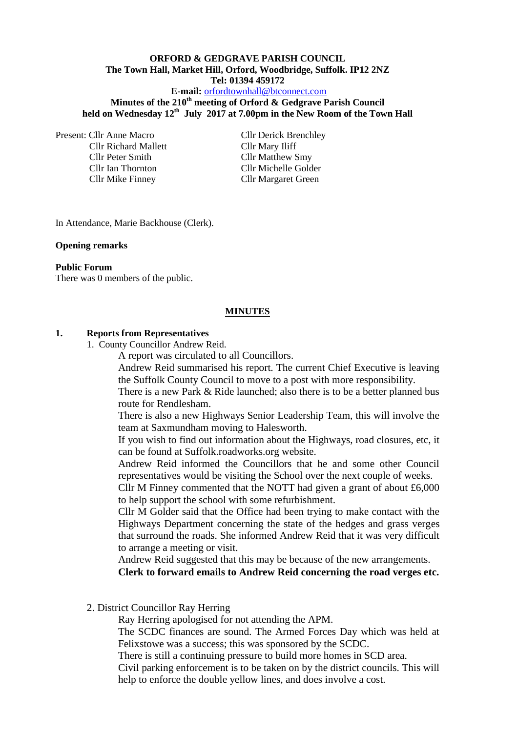## **ORFORD & GEDGRAVE PARISH COUNCIL The Town Hall, Market Hill, Orford, Woodbridge, Suffolk. IP12 2NZ Tel: 01394 459172**

## **E-mail:** [orfordtownhall@btconnect.com](mailto:orfordtownhall@btconnect.com)

**Minutes of the 210th meeting of Orford & Gedgrave Parish Council held on Wednesday 12th July 2017 at 7.00pm in the New Room of the Town Hall**

Present: Cllr Anne Macro Cllr Derick Brenchley

Cllr Richard Mallett Cllr Mary Iliff Cllr Peter Smith Cllr Matthew Smy

Cllr Ian Thornton Cllr Michelle Golder Cllr Mike Finney Cllr Margaret Green

In Attendance, Marie Backhouse (Clerk).

#### **Opening remarks**

#### **Public Forum**

There was 0 members of the public.

#### **MINUTES**

#### **1. Reports from Representatives**

1. County Councillor Andrew Reid.

A report was circulated to all Councillors.

Andrew Reid summarised his report. The current Chief Executive is leaving the Suffolk County Council to move to a post with more responsibility.

There is a new Park & Ride launched; also there is to be a better planned bus route for Rendlesham.

There is also a new Highways Senior Leadership Team, this will involve the team at Saxmundham moving to Halesworth.

If you wish to find out information about the Highways, road closures, etc, it can be found at Suffolk.roadworks.org website.

Andrew Reid informed the Councillors that he and some other Council representatives would be visiting the School over the next couple of weeks.

Cllr M Finney commented that the NOTT had given a grant of about £6,000 to help support the school with some refurbishment.

Cllr M Golder said that the Office had been trying to make contact with the Highways Department concerning the state of the hedges and grass verges that surround the roads. She informed Andrew Reid that it was very difficult to arrange a meeting or visit.

Andrew Reid suggested that this may be because of the new arrangements.

**Clerk to forward emails to Andrew Reid concerning the road verges etc.**

2. District Councillor Ray Herring

Ray Herring apologised for not attending the APM.

The SCDC finances are sound. The Armed Forces Day which was held at Felixstowe was a success; this was sponsored by the SCDC.

There is still a continuing pressure to build more homes in SCD area.

Civil parking enforcement is to be taken on by the district councils. This will help to enforce the double yellow lines, and does involve a cost.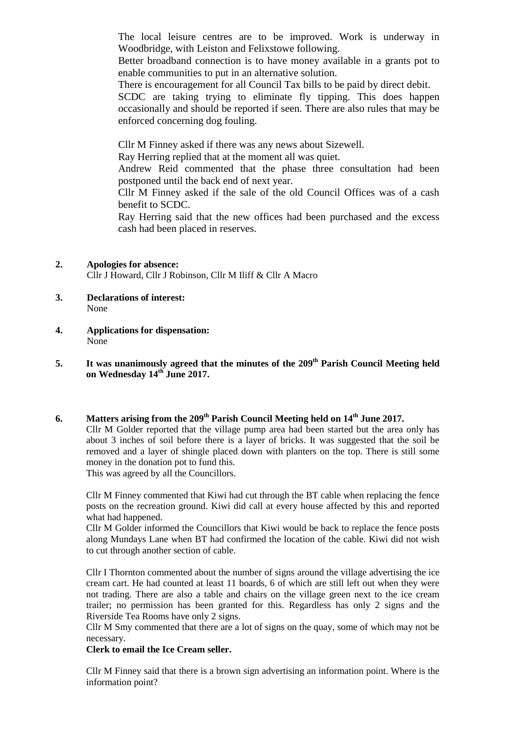The local leisure centres are to be improved. Work is underway in Woodbridge, with Leiston and Felixstowe following.

Better broadband connection is to have money available in a grants pot to enable communities to put in an alternative solution.

There is encouragement for all Council Tax bills to be paid by direct debit.

SCDC are taking trying to eliminate fly tipping. This does happen occasionally and should be reported if seen. There are also rules that may be enforced concerning dog fouling.

Cllr M Finney asked if there was any news about Sizewell.

Ray Herring replied that at the moment all was quiet.

Andrew Reid commented that the phase three consultation had been postponed until the back end of next year.

Cllr M Finney asked if the sale of the old Council Offices was of a cash benefit to SCDC.

Ray Herring said that the new offices had been purchased and the excess cash had been placed in reserves.

- **2. Apologies for absence:** Cllr J Howard, Cllr J Robinson, Cllr M Iliff & Cllr A Macro
- **3. Declarations of interest:** None
- **4. Applications for dispensation:** None
- **5. It was unanimously agreed that the minutes of the 209th Parish Council Meeting held on Wednesday 14th June 2017.**

# **6. Matters arising from the 209th Parish Council Meeting held on 14th June 2017.**

Cllr M Golder reported that the village pump area had been started but the area only has about 3 inches of soil before there is a layer of bricks. It was suggested that the soil be removed and a layer of shingle placed down with planters on the top. There is still some money in the donation pot to fund this.

This was agreed by all the Councillors.

Cllr M Finney commented that Kiwi had cut through the BT cable when replacing the fence posts on the recreation ground. Kiwi did call at every house affected by this and reported what had happened.

Cllr M Golder informed the Councillors that Kiwi would be back to replace the fence posts along Mundays Lane when BT had confirmed the location of the cable. Kiwi did not wish to cut through another section of cable.

Cllr I Thornton commented about the number of signs around the village advertising the ice cream cart. He had counted at least 11 boards, 6 of which are still left out when they were not trading. There are also a table and chairs on the village green next to the ice cream trailer; no permission has been granted for this. Regardless has only 2 signs and the Riverside Tea Rooms have only 2 signs.

Cllr M Smy commented that there are a lot of signs on the quay, some of which may not be necessary.

#### **Clerk to email the Ice Cream seller.**

Cllr M Finney said that there is a brown sign advertising an information point. Where is the information point?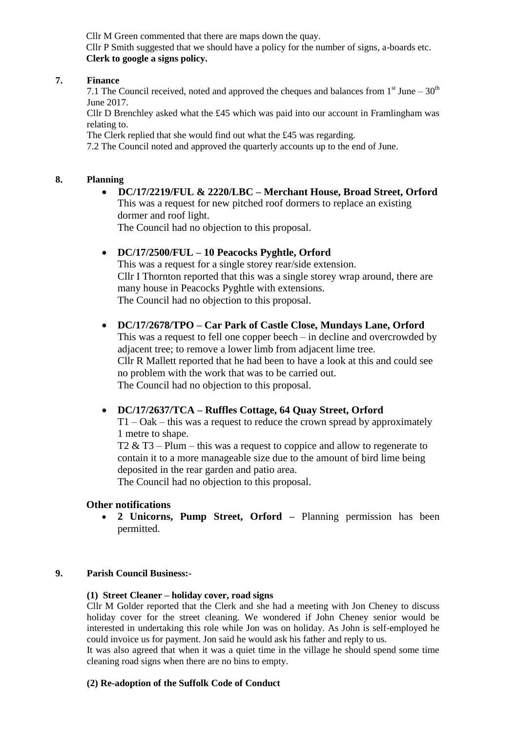Cllr M Green commented that there are maps down the quay. Cllr P Smith suggested that we should have a policy for the number of signs, a-boards etc. **Clerk to google a signs policy.**

## **7. Finance**

7.1 The Council received, noted and approved the cheques and balances from  $1<sup>st</sup>$  June –  $30<sup>th</sup>$ June 2017.

Cllr D Brenchley asked what the £45 which was paid into our account in Framlingham was relating to.

The Clerk replied that she would find out what the £45 was regarding.

7.2 The Council noted and approved the quarterly accounts up to the end of June.

# **8. Planning**

 **DC/17/2219/FUL & 2220/LBC – Merchant House, Broad Street, Orford** This was a request for new pitched roof dormers to replace an existing dormer and roof light. The Council had no objection to this proposal.

# **DC/17/2500/FUL – 10 Peacocks Pyghtle, Orford**

This was a request for a single storey rear/side extension. Cllr I Thornton reported that this was a single storey wrap around, there are many house in Peacocks Pyghtle with extensions. The Council had no objection to this proposal.

# **DC/17/2678/TPO – Car Park of Castle Close, Mundays Lane, Orford**

This was a request to fell one copper beech – in decline and overcrowded by adjacent tree; to remove a lower limb from adjacent lime tree. Cllr R Mallett reported that he had been to have a look at this and could see no problem with the work that was to be carried out. The Council had no objection to this proposal.

## **DC/17/2637/TCA – Ruffles Cottage, 64 Quay Street, Orford**

 $T1 - Oak - this was a request to reduce the crown spread by approximately$ 1 metre to shape.

T2 & T3 – Plum – this was a request to coppice and allow to regenerate to contain it to a more manageable size due to the amount of bird lime being deposited in the rear garden and patio area.

The Council had no objection to this proposal.

## **Other notifications**

 **2 Unicorns, Pump Street, Orford –** Planning permission has been permitted.

## **9. Parish Council Business:-**

## **(1) Street Cleaner – holiday cover, road signs**

Cllr M Golder reported that the Clerk and she had a meeting with Jon Cheney to discuss holiday cover for the street cleaning. We wondered if John Cheney senior would be interested in undertaking this role while Jon was on holiday. As John is self-employed he could invoice us for payment. Jon said he would ask his father and reply to us.

It was also agreed that when it was a quiet time in the village he should spend some time cleaning road signs when there are no bins to empty.

#### **(2) Re-adoption of the Suffolk Code of Conduct**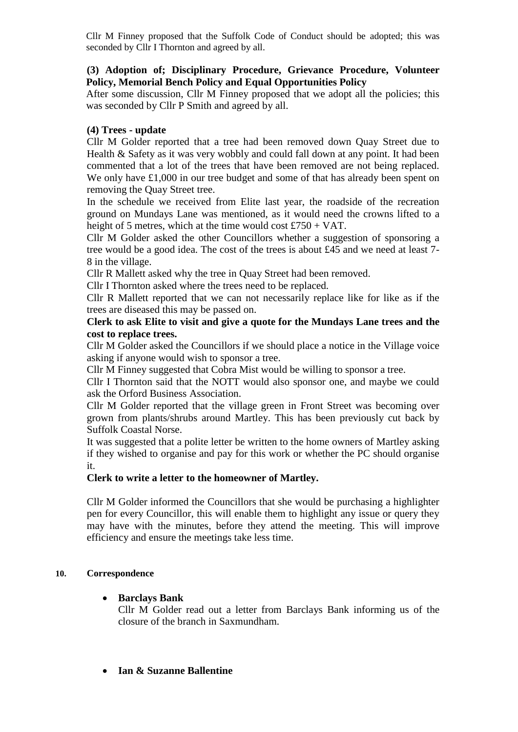Cllr M Finney proposed that the Suffolk Code of Conduct should be adopted; this was seconded by Cllr I Thornton and agreed by all.

# **(3) Adoption of; Disciplinary Procedure, Grievance Procedure, Volunteer Policy, Memorial Bench Policy and Equal Opportunities Policy**

After some discussion, Cllr M Finney proposed that we adopt all the policies; this was seconded by Cllr P Smith and agreed by all.

# **(4) Trees - update**

Cllr M Golder reported that a tree had been removed down Quay Street due to Health & Safety as it was very wobbly and could fall down at any point. It had been commented that a lot of the trees that have been removed are not being replaced. We only have £1,000 in our tree budget and some of that has already been spent on removing the Quay Street tree.

In the schedule we received from Elite last year, the roadside of the recreation ground on Mundays Lane was mentioned, as it would need the crowns lifted to a height of 5 metres, which at the time would cost  $£750 + VAT$ .

Cllr M Golder asked the other Councillors whether a suggestion of sponsoring a tree would be a good idea. The cost of the trees is about £45 and we need at least 7- 8 in the village.

Cllr R Mallett asked why the tree in Quay Street had been removed.

Cllr I Thornton asked where the trees need to be replaced.

Cllr R Mallett reported that we can not necessarily replace like for like as if the trees are diseased this may be passed on.

# **Clerk to ask Elite to visit and give a quote for the Mundays Lane trees and the cost to replace trees.**

Cllr M Golder asked the Councillors if we should place a notice in the Village voice asking if anyone would wish to sponsor a tree.

Cllr M Finney suggested that Cobra Mist would be willing to sponsor a tree.

Cllr I Thornton said that the NOTT would also sponsor one, and maybe we could ask the Orford Business Association.

Cllr M Golder reported that the village green in Front Street was becoming over grown from plants/shrubs around Martley. This has been previously cut back by Suffolk Coastal Norse.

It was suggested that a polite letter be written to the home owners of Martley asking if they wished to organise and pay for this work or whether the PC should organise it.

# **Clerk to write a letter to the homeowner of Martley.**

Cllr M Golder informed the Councillors that she would be purchasing a highlighter pen for every Councillor, this will enable them to highlight any issue or query they may have with the minutes, before they attend the meeting. This will improve efficiency and ensure the meetings take less time.

## **10. Correspondence**

## **Barclays Bank**

Cllr M Golder read out a letter from Barclays Bank informing us of the closure of the branch in Saxmundham.

**Ian & Suzanne Ballentine**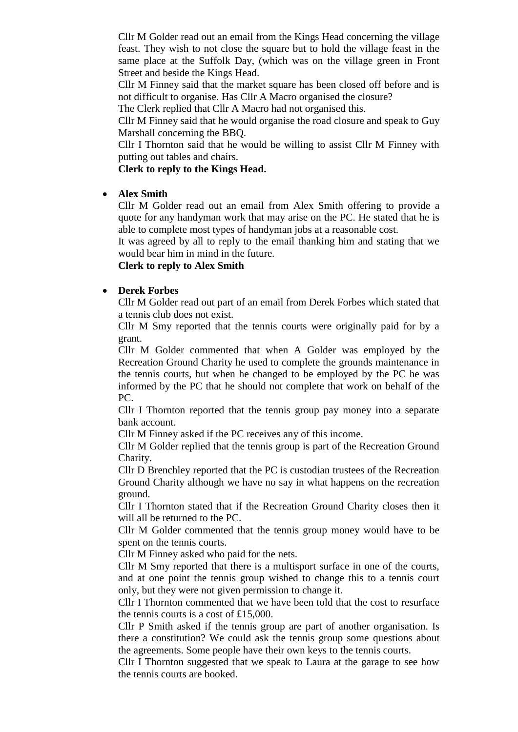Cllr M Golder read out an email from the Kings Head concerning the village feast. They wish to not close the square but to hold the village feast in the same place at the Suffolk Day, (which was on the village green in Front Street and beside the Kings Head.

Cllr M Finney said that the market square has been closed off before and is not difficult to organise. Has Cllr A Macro organised the closure?

The Clerk replied that Cllr A Macro had not organised this.

Cllr M Finney said that he would organise the road closure and speak to Guy Marshall concerning the BBQ.

Cllr I Thornton said that he would be willing to assist Cllr M Finney with putting out tables and chairs.

**Clerk to reply to the Kings Head.**

## **Alex Smith**

Cllr M Golder read out an email from Alex Smith offering to provide a quote for any handyman work that may arise on the PC. He stated that he is able to complete most types of handyman jobs at a reasonable cost.

It was agreed by all to reply to the email thanking him and stating that we would bear him in mind in the future.

#### **Clerk to reply to Alex Smith**

# **Derek Forbes**

Cllr M Golder read out part of an email from Derek Forbes which stated that a tennis club does not exist.

Cllr M Smy reported that the tennis courts were originally paid for by a grant.

Cllr M Golder commented that when A Golder was employed by the Recreation Ground Charity he used to complete the grounds maintenance in the tennis courts, but when he changed to be employed by the PC he was informed by the PC that he should not complete that work on behalf of the PC.

Cllr I Thornton reported that the tennis group pay money into a separate bank account.

Cllr M Finney asked if the PC receives any of this income.

Cllr M Golder replied that the tennis group is part of the Recreation Ground Charity.

Cllr D Brenchley reported that the PC is custodian trustees of the Recreation Ground Charity although we have no say in what happens on the recreation ground.

Cllr I Thornton stated that if the Recreation Ground Charity closes then it will all be returned to the PC.

Cllr M Golder commented that the tennis group money would have to be spent on the tennis courts.

Cllr M Finney asked who paid for the nets.

Cllr M Smy reported that there is a multisport surface in one of the courts, and at one point the tennis group wished to change this to a tennis court only, but they were not given permission to change it.

Cllr I Thornton commented that we have been told that the cost to resurface the tennis courts is a cost of £15,000.

Cllr P Smith asked if the tennis group are part of another organisation. Is there a constitution? We could ask the tennis group some questions about the agreements. Some people have their own keys to the tennis courts.

Cllr I Thornton suggested that we speak to Laura at the garage to see how the tennis courts are booked.